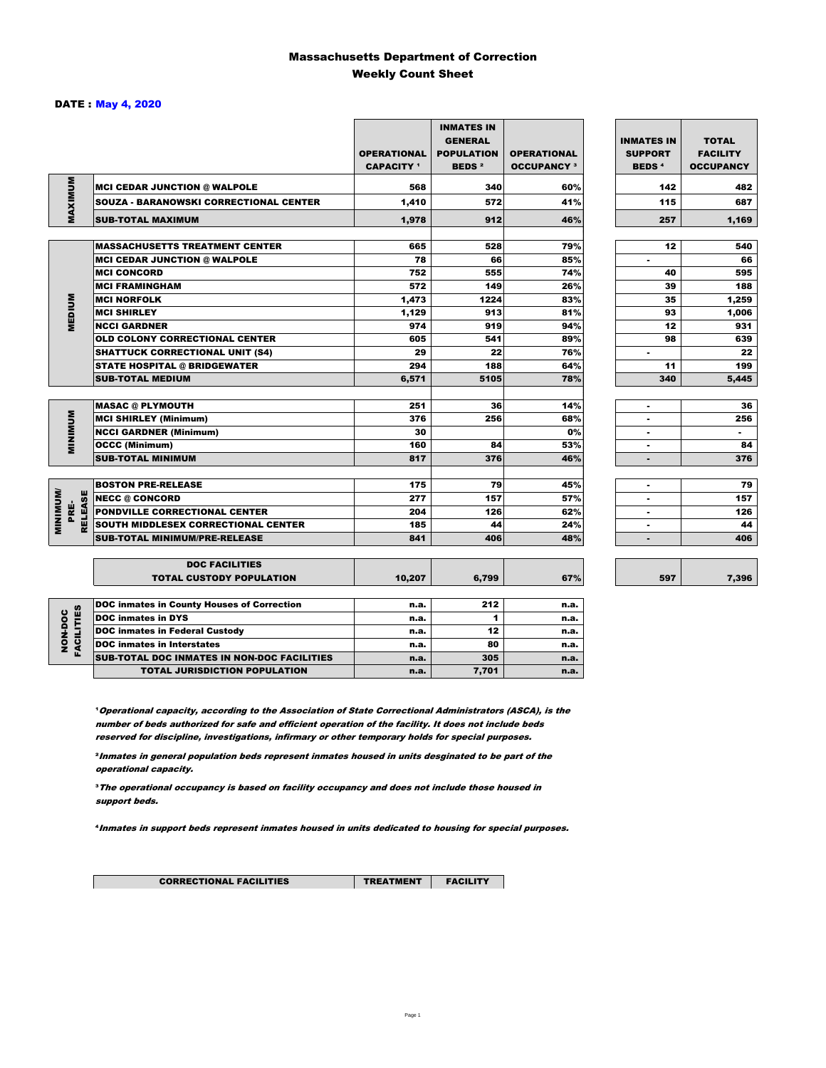### Massachusetts Department of Correction Weekly Count Sheet

### DATE : May 4, 2020

|                                  |                                                   | <b>OPERATIONAL</b><br><b>CAPACITY</b> 1 | <b>INMATES IN</b><br><b>GENERAL</b><br><b>POPULATION</b><br><b>BEDS<sup>2</sup></b> | <b>OPERATIONAL</b><br><b>OCCUPANCY 3</b> | <b>INMATES IN</b><br><b>SUPPORT</b><br><b>BEDS<sup>4</sup></b> | <b>TOTAL</b><br><b>FACILITY</b><br><b>OCCUPANCY</b> |
|----------------------------------|---------------------------------------------------|-----------------------------------------|-------------------------------------------------------------------------------------|------------------------------------------|----------------------------------------------------------------|-----------------------------------------------------|
| MAXIMUM                          | <b>MCI CEDAR JUNCTION @ WALPOLE</b>               | 568                                     | 340                                                                                 | 60%                                      | 142                                                            | 482                                                 |
|                                  | SOUZA - BARANOWSKI CORRECTIONAL CENTER            | 1,410                                   | 572                                                                                 | 41%                                      | 115                                                            | 687                                                 |
|                                  | <b>SUB-TOTAL MAXIMUM</b>                          | 1,978                                   | 912                                                                                 | 46%                                      | 257                                                            | 1,169                                               |
|                                  |                                                   |                                         |                                                                                     |                                          |                                                                |                                                     |
|                                  | <b>MASSACHUSETTS TREATMENT CENTER</b>             | 665                                     | 528                                                                                 | 79%                                      | 12                                                             | 540                                                 |
|                                  | <b>MCI CEDAR JUNCTION @ WALPOLE</b>               | 78                                      | 66                                                                                  | 85%                                      | $\blacksquare$                                                 | 66                                                  |
|                                  | <b>MCI CONCORD</b>                                | 752                                     | 555                                                                                 | 74%                                      | 40                                                             | 595                                                 |
|                                  | <b>MCI FRAMINGHAM</b>                             | 572                                     | 149                                                                                 | 26%                                      | 39                                                             | 188                                                 |
|                                  | <b>MCI NORFOLK</b>                                | 1,473                                   | 1224                                                                                | 83%                                      | 35                                                             | 1,259                                               |
| <b>MEDIUM</b>                    | <b>MCI SHIRLEY</b>                                | 1,129                                   | 913                                                                                 | 81%                                      | 93                                                             | 1,006                                               |
|                                  | <b>NCCI GARDNER</b>                               | 974                                     | 919                                                                                 | 94%                                      | 12                                                             | 931                                                 |
|                                  | <b>OLD COLONY CORRECTIONAL CENTER</b>             | 605                                     | 541                                                                                 | 89%                                      | 98                                                             | 639                                                 |
|                                  | <b>SHATTUCK CORRECTIONAL UNIT (S4)</b>            | 29                                      | 22                                                                                  | 76%                                      | ٠                                                              | 22                                                  |
|                                  | <b>STATE HOSPITAL @ BRIDGEWATER</b>               | 294                                     | 188                                                                                 | 64%                                      | 11                                                             | 199                                                 |
|                                  | <b>SUB-TOTAL MEDIUM</b>                           | 6,571                                   | 5105                                                                                | 78%                                      | 340                                                            | 5,445                                               |
|                                  | <b>MASAC @ PLYMOUTH</b>                           | 251                                     | 36                                                                                  | 14%                                      | ٠                                                              | 36                                                  |
| <b>MINIMUM</b>                   | <b>MCI SHIRLEY (Minimum)</b>                      | 376                                     | 256                                                                                 | 68%                                      | $\blacksquare$                                                 | 256                                                 |
|                                  | <b>NCCI GARDNER (Minimum)</b>                     | 30                                      |                                                                                     | 0%                                       | $\blacksquare$                                                 | $\blacksquare$                                      |
|                                  | <b>OCCC (Minimum)</b>                             | 160                                     | 84                                                                                  | 53%                                      | ٠                                                              | 84                                                  |
|                                  | <b>SUB-TOTAL MINIMUM</b>                          | 817                                     | 376                                                                                 | 46%                                      |                                                                | 376                                                 |
|                                  |                                                   |                                         |                                                                                     |                                          |                                                                |                                                     |
|                                  | <b>BOSTON PRE-RELEASE</b>                         | 175                                     | 79                                                                                  | 45%                                      | ٠                                                              | 79                                                  |
| <b>MINIMUM</b><br><b>RELEASE</b> | <b>NECC @ CONCORD</b>                             | 277                                     | 157                                                                                 | 57%                                      |                                                                | 157                                                 |
| PRE-                             | PONDVILLE CORRECTIONAL CENTER                     | 204                                     | 126                                                                                 | 62%                                      | ٠                                                              | 126                                                 |
|                                  | SOUTH MIDDLESEX CORRECTIONAL CENTER               | 185                                     | 44                                                                                  | 24%                                      | $\blacksquare$                                                 | 44                                                  |
|                                  | <b>SUB-TOTAL MINIMUM/PRE-RELEASE</b>              | 841                                     | 406                                                                                 | 48%                                      | ٠                                                              | 406                                                 |
|                                  | <b>DOC FACILITIES</b>                             |                                         |                                                                                     |                                          |                                                                |                                                     |
|                                  | <b>TOTAL CUSTODY POPULATION</b>                   | 10,207                                  | 6,799                                                                               | 67%                                      | 597                                                            | 7,396                                               |
|                                  | <b>DOC inmates in County Houses of Correction</b> | n.a.                                    | 212                                                                                 | n.a.                                     |                                                                |                                                     |
| <b>FACILITIES</b>                | <b>DOC</b> inmates in DYS                         | n.a.                                    | 1                                                                                   | n.a.                                     |                                                                |                                                     |
|                                  | <b>DOC inmates in Federal Custody</b>             | n.a.                                    | 12                                                                                  | n.a.                                     |                                                                |                                                     |
| NON-DOC                          | <b>DOC</b> inmates in Interstates                 | n.a.                                    | 80                                                                                  | n.a.                                     |                                                                |                                                     |
|                                  | CUB TOTAL BOO INIMATES IN NON BOO FAOU ITIES      |                                         | $20 -$                                                                              |                                          |                                                                |                                                     |

**Operational capacity, according to the Association of State Correctional Administrators (ASCA), is the** number of beds authorized for safe and efficient operation of the facility. It does not include beds reserved for discipline, investigations, infirmary or other temporary holds for special purposes.

SUB-TOTAL DOC INMATES IN NON-DOC FACILITIES n.a. 1 305 n.a. TOTAL JURISDICTION POPULATION **n.a.** 7,701 n.a.

²Inmates in general population beds represent inmates housed in units desginated to be part of the operational capacity.

³The operational occupancy is based on facility occupancy and does not include those housed in support beds.

⁴Inmates in support beds represent inmates housed in units dedicated to housing for special purposes.

7,396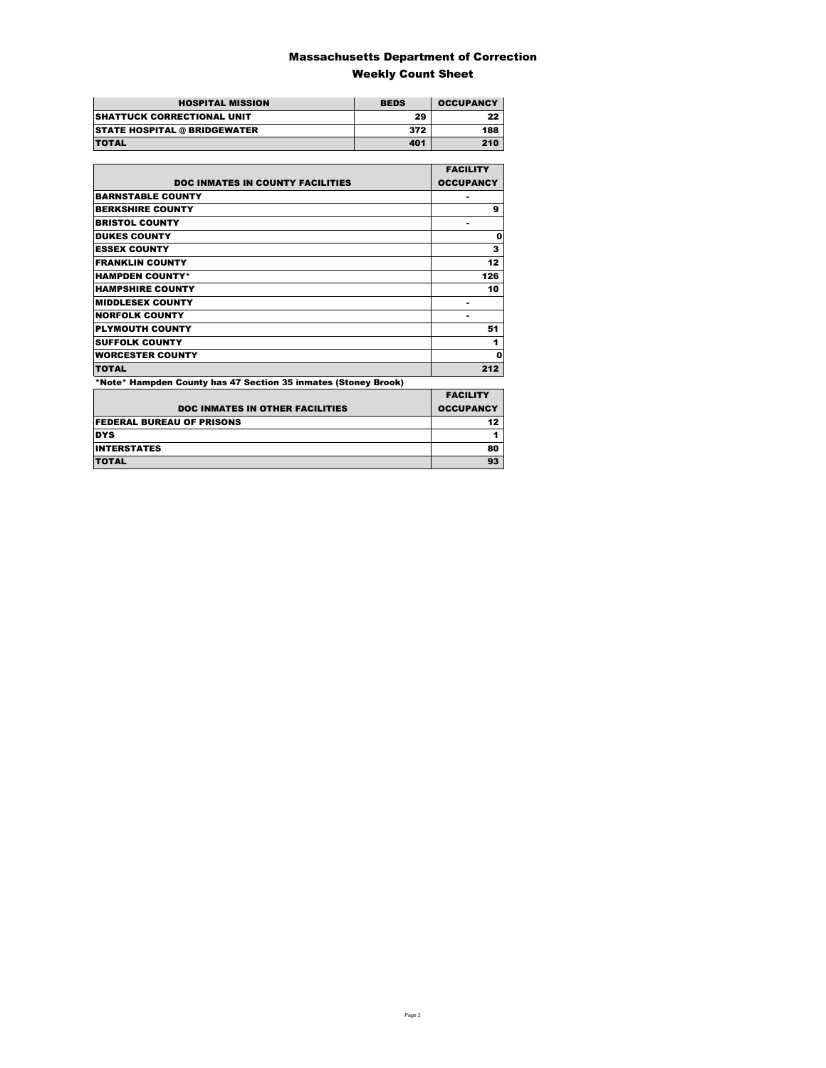### Massachusetts Department of Correction Weekly Count Sheet

| <b>HOSPITAL MISSION</b>             | <b>BEDS</b> | <b>OCCUPANCY</b> |
|-------------------------------------|-------------|------------------|
| <b>SHATTUCK CORRECTIONAL UNIT</b>   | 29          | 22               |
| <b>STATE HOSPITAL @ BRIDGEWATER</b> | 372         | 188              |
| <b>TOTAL</b>                        | 401         | 210              |

|                                                                | <b>FACILITY</b>  |
|----------------------------------------------------------------|------------------|
| <b>DOC INMATES IN COUNTY FACILITIES</b>                        | <b>OCCUPANCY</b> |
| <b>BARNSTABLE COUNTY</b>                                       |                  |
| <b>BERKSHIRE COUNTY</b>                                        | 9                |
| <b>BRISTOL COUNTY</b>                                          | ۰                |
| <b>DUKES COUNTY</b>                                            | 0                |
| <b>ESSEX COUNTY</b>                                            | 3                |
| <b>FRANKLIN COUNTY</b>                                         | 12               |
| <b>HAMPDEN COUNTY*</b>                                         | 126              |
| <b>HAMPSHIRE COUNTY</b>                                        | 10               |
| <b>MIDDLESEX COUNTY</b>                                        | ۰                |
| <b>NORFOLK COUNTY</b>                                          | ۰                |
| <b>PLYMOUTH COUNTY</b>                                         | 51               |
| <b>SUFFOLK COUNTY</b>                                          | 1                |
| <b>WORCESTER COUNTY</b>                                        | Ω                |
| <b>TOTAL</b>                                                   | 212              |
| *Note* Hampden County has 47 Section 35 inmates (Stoney Brook) |                  |
|                                                                | <b>EACILITY</b>  |

| <b>DOC INMATES IN OTHER FACILITIES</b> | <b>FACILITY</b><br><b>OCCUPANCY</b> |
|----------------------------------------|-------------------------------------|
| <b>FEDERAL BUREAU OF PRISONS</b>       |                                     |
| <b>DYS</b>                             |                                     |
| <b>INTERSTATES</b>                     | 80                                  |
| <b>TOTAL</b>                           | 93                                  |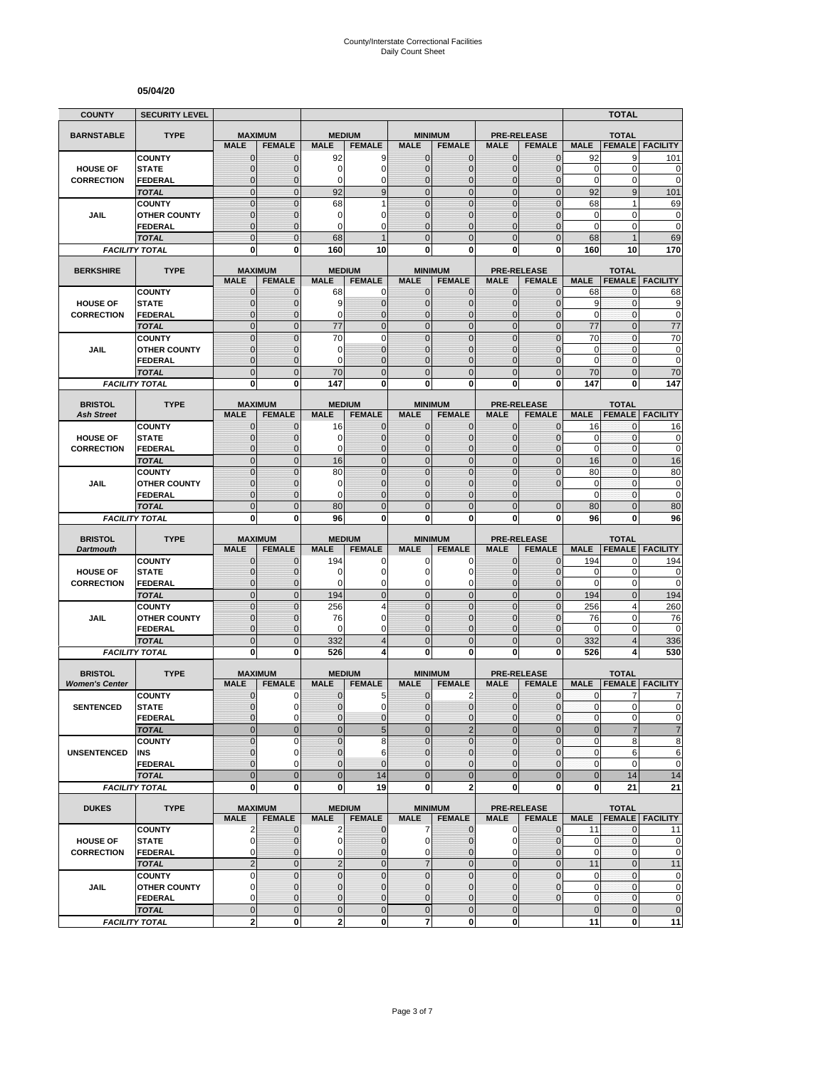#### **05/04/20**

| <b>COUNTY</b>         | <b>SECURITY LEVEL</b>                 |                                  |                               |                             |                                  |                                |                                  |                                |                                  |                        | <b>TOTAL</b>                     |                                                                            |
|-----------------------|---------------------------------------|----------------------------------|-------------------------------|-----------------------------|----------------------------------|--------------------------------|----------------------------------|--------------------------------|----------------------------------|------------------------|----------------------------------|----------------------------------------------------------------------------|
| <b>BARNSTABLE</b>     | <b>TYPE</b>                           | <b>MAXIMUM</b>                   |                               | <b>MEDIUM</b>               |                                  |                                | <b>MINIMUM</b>                   |                                | <b>PRE-RELEASE</b>               |                        | <b>TOTAL</b>                     |                                                                            |
|                       |                                       | <b>MALE</b>                      | <b>FEMALE</b>                 | <b>MALE</b>                 | <b>FEMALE</b>                    | <b>MALE</b>                    | <b>FEMALE</b>                    | <b>MALE</b>                    | <b>FEMALE</b>                    | <b>MALE</b>            | <b>FEMALE</b>                    | <b>FACILITY</b>                                                            |
|                       | <b>COUNTY</b>                         | $\mathbf 0$                      | $\mathbf{0}$                  | 92                          | 9                                | $\mathbf 0$                    | 0                                | $\mathbf{0}$                   | $\mathbf{0}$                     | 92                     | 9                                | 101                                                                        |
| <b>HOUSE OF</b>       | <b>STATE</b>                          | $\mathbf{0}$                     | $\mathbf 0$                   | 0                           | $\overline{0}$                   | $\mathbf 0$                    | $\overline{0}$                   | $\mathbf{0}$                   | $\overline{0}$                   | $\mathbf 0$            | 0                                | $\mathbf 0$                                                                |
| <b>CORRECTION</b>     | FEDERAL                               | $\mathbf 0$                      | $\mathbf 0$                   | 0                           | 0                                | $\mathbf 0$                    | $\mathbf 0$                      | $\mathbf 0$                    | $\overline{0}$                   | $\mathbf 0$            | 0                                | $\mathbf 0$                                                                |
|                       | <b>TOTAL</b>                          | $\mathbf 0$                      | $\mathbf{0}$                  | 92                          | 9                                | $\overline{0}$                 | $\mathbf 0$                      | $\mathbf{0}$                   | $\mathbf 0$                      | 92                     | 9                                | 101                                                                        |
|                       | <b>COUNTY</b>                         | $\mathbf 0$                      | $\mathbf{0}$                  | 68<br>0                     | 1<br>0                           | $\overline{0}$<br>$\mathbf{0}$ | $\mathbf 0$<br>$\overline{0}$    | $\mathbf 0$                    | $\overline{0}$<br>$\overline{0}$ | 68<br>$\mathbf 0$      | 1<br>$\mathbf 0$                 | 69                                                                         |
| JAIL                  | <b>OTHER COUNTY</b><br><b>FEDERAL</b> | $\mathbf 0$<br>$\mathbf 0$       | $\mathbf{0}$<br>$\mathbf{0}$  | 0                           | $\Omega$                         | $\Omega$                       | $\overline{0}$                   | $\mathbf 0$<br>$\Omega$        | $\overline{0}$                   | $\mathbf 0$            | 0                                | $\bf{0}$<br>$\mathbf 0$                                                    |
|                       | <b>TOTAL</b>                          | $\overline{0}$                   | $\Omega$                      | 68                          |                                  | $\Omega$                       | $\overline{0}$                   | $\Omega$                       | $\overline{0}$                   | 68                     | 1                                | 69                                                                         |
|                       | <b>FACILITY TOTAL</b>                 | 0                                | 0                             | 160                         | 10                               | $\mathbf{0}$                   | 0                                | 0                              | 0                                | 160                    | 10                               | 170                                                                        |
|                       |                                       |                                  |                               |                             |                                  |                                |                                  |                                |                                  |                        |                                  |                                                                            |
| <b>BERKSHIRE</b>      | <b>TYPE</b>                           |                                  | <b>MAXIMUM</b>                |                             | <b>MEDIUM</b>                    |                                | <b>MINIMUM</b>                   |                                | <b>PRE-RELEASE</b>               |                        | <b>TOTAL</b>                     |                                                                            |
|                       | <b>COUNTY</b>                         | <b>MALE</b><br>$\mathbf{0}$      | <b>FEMALE</b><br>$\mathbf 0$  | <b>MALE</b><br>68           | <b>FEMALE</b><br>0               | <b>MALE</b><br>$\mathbf{0}$    | <b>FEMALE</b><br>$\mathbf{0}$    | <b>MALE</b><br>$\mathbf{0}$    | <b>FEMALE</b><br>$\mathbf 0$     | <b>MALE</b><br>68      | <b>FEMALE</b><br>0               | <b>FACILITY</b>                                                            |
| <b>HOUSE OF</b>       | <b>STATE</b>                          | 0                                | $\mathbf{0}$                  | 9                           | $\mathbf 0$                      | $\mathbf{0}$                   | $\mathbf 0$                      | $\mathbf{0}$                   | $\mathbf{0}$                     | 9                      | 0                                | 68<br>9                                                                    |
| <b>CORRECTION</b>     | <b>FEDERAL</b>                        | $\mathbf 0$                      | $\mathbf 0$                   | 0                           | $\overline{0}$                   | $\mathbf{0}$                   | $\overline{0}$                   | $\mathbf{0}$                   | $\mathbf 0$                      | $\mathbf 0$            | 0                                | $\mathbf 0$                                                                |
|                       | <b>TOTAL</b>                          | $\overline{0}$                   | $\mathbf{0}$                  | 77                          | $\overline{0}$                   | $\overline{0}$                 | $\overline{0}$                   | $\mathbf{0}$                   | $\overline{0}$                   | 77                     | $\overline{0}$                   | 77                                                                         |
|                       | <b>COUNTY</b>                         | $\overline{0}$                   | $\mathbf 0$                   | 70                          | $\mathbf 0$                      | $\mathbf 0$                    | $\overline{0}$                   | $\overline{0}$                 | $\overline{0}$                   | 70                     | $\mathbf{0}$                     | 70                                                                         |
| <b>JAIL</b>           | <b>OTHER COUNTY</b>                   | 0                                | $\mathbf{0}$                  | 0                           | $\overline{0}$                   | $\Omega$                       | $\overline{0}$                   | $\Omega$                       | $\Omega$                         | 0                      | $\mathbf{0}$                     | $\bf{0}$                                                                   |
|                       | <b>FEDERAL</b>                        | $\mathbf 0$                      | $\mathbf{0}$                  | 0                           | $\overline{0}$                   | $\mathbf{0}$                   | $\overline{0}$                   | $\mathbf 0$                    | $\overline{0}$                   | $\mathbf 0$            | $\mathbf{0}$                     | $\mathbf 0$                                                                |
|                       | <b>TOTAL</b>                          | $\mathbf 0$                      | $\mathbf{0}$                  | 70                          | $\overline{0}$                   | $\mathbf{0}$                   | $\mathbf 0$                      | $\mathbf{0}$                   | $\mathbf 0$                      | 70                     | $\overline{0}$                   | 70                                                                         |
|                       | <b>FACILITY TOTAL</b>                 | 0                                | $\bf{0}$                      | 147                         | 0                                | 0                              | $\bf{0}$                         | 0                              | 0                                | 147                    | 0                                | 147                                                                        |
| <b>BRISTOL</b>        | <b>TYPE</b>                           | <b>MAXIMUM</b>                   |                               |                             | <b>MEDIUM</b>                    |                                | <b>MINIMUM</b>                   |                                | <b>PRE-RELEASE</b>               |                        | <b>TOTAL</b>                     |                                                                            |
| <b>Ash Street</b>     |                                       | <b>MALE</b>                      | <b>FEMALE</b>                 | <b>MALE</b>                 | <b>FEMALE</b>                    | <b>MALE</b>                    | <b>FEMALE</b>                    | <b>MALE</b>                    | <b>FEMALE</b>                    | <b>MALE</b>            | <b>FEMALE</b>                    | <b>FACILITY</b>                                                            |
|                       | <b>COUNTY</b>                         | 0                                | $\mathbf{0}$                  | 16                          | $\mathbf 0$                      | $\mathbf 0$                    | 0                                | $\mathbf{0}$                   | $\overline{0}$                   | 16                     | 0                                | 16                                                                         |
| <b>HOUSE OF</b>       | <b>STATE</b>                          | $\mathbf{0}$                     | $\mathbf{0}$                  | 0                           | $\mathbf 0$                      | $\mathbf{0}$                   | $\mathbf{0}$                     | $\mathbf{0}$                   | $\mathbf{0}$                     | 0                      | $\mathbf{0}$                     | 0                                                                          |
| <b>CORRECTION</b>     | <b>FEDERAL</b>                        | $\mathbf{0}$                     | $\mathbf{0}$                  | 0                           | $\overline{0}$                   | $\mathbf{0}$                   | $\overline{0}$                   | $\mathbf{0}$                   | $\overline{0}$                   | $\mathbf 0$            | 0                                | $\mathbf 0$                                                                |
|                       | <b>TOTAL</b>                          | $\overline{0}$<br>$\overline{0}$ | $\mathbf{0}$<br>$\Omega$      | 16<br>80                    | $\overline{0}$<br>$\overline{0}$ | $\mathbf 0$<br>$\mathbf 0$     | $\overline{0}$<br>$\overline{0}$ | $\mathbf{0}$<br>$\overline{0}$ | $\overline{0}$<br>$\overline{0}$ | 16<br>80               | $\overline{0}$<br>$\overline{0}$ | 16<br>80                                                                   |
| JAIL                  | <b>COUNTY</b><br><b>OTHER COUNTY</b>  | $\mathbf 0$                      | $\mathbf 0$                   | 0                           | $\overline{0}$                   | $\mathbf{0}$                   | $\overline{0}$                   | $\mathbf 0$                    | $\overline{0}$                   | $\mathbf 0$            | $\mathbf{0}$                     | $\mathbf 0$                                                                |
|                       | FEDERAL                               | $\overline{0}$                   | $\mathbf{0}$                  | 0                           | $\overline{0}$                   | $\Omega$                       | $\overline{0}$                   | $\Omega$                       |                                  | $\mathbf 0$            | 0                                | $\mathbf 0$                                                                |
|                       | <b>TOTAL</b>                          | $\overline{0}$                   | $\mathbf{0}$                  | 80                          | $\overline{0}$                   | $\overline{0}$                 | $\overline{0}$                   | $\overline{0}$                 | $\overline{0}$                   | 80                     | $\overline{0}$                   | 80                                                                         |
|                       |                                       |                                  |                               |                             |                                  |                                |                                  |                                |                                  |                        |                                  |                                                                            |
|                       | <b>FACILITY TOTAL</b>                 | 0                                | 0                             | 96                          | 0                                | 0                              | 0                                | 0                              | 0                                | 96                     | 0                                | 96                                                                         |
|                       |                                       |                                  |                               |                             |                                  |                                |                                  |                                |                                  |                        |                                  |                                                                            |
| <b>BRISTOL</b>        | <b>TYPE</b>                           | <b>MAXIMUM</b>                   |                               |                             | <b>MEDIUM</b>                    |                                | <b>MINIMUM</b>                   |                                | <b>PRE-RELEASE</b>               |                        | <b>TOTAL</b>                     |                                                                            |
| <b>Dartmouth</b>      |                                       | <b>MALE</b>                      | <b>FEMALE</b>                 | <b>MALE</b>                 | <b>FEMALE</b>                    | <b>MALE</b>                    | <b>FEMALE</b>                    | <b>MALE</b>                    | <b>FEMALE</b>                    | <b>MALE</b>            | <b>FEMALE</b>                    | <b>FACILITY</b>                                                            |
| <b>HOUSE OF</b>       | <b>COUNTY</b><br><b>STATE</b>         | $\mathbf 0$<br>$\mathbf 0$       | $\mathbf 0$<br>$\mathbf{0}$   | 194<br>0                    | 0<br>$\overline{0}$              | 0<br>$\Omega$                  | 0<br>0                           | $\mathbf 0$<br>$\Omega$        | $\overline{0}$<br>$\mathbf{0}$   | 194<br>0               | 0<br>$\mathbf 0$                 | 194                                                                        |
| <b>CORRECTION</b>     | <b>FEDERAL</b>                        | $\mathbf 0$                      | $\mathbf{0}$                  | 0                           | 0                                | 0                              | 0                                | $\mathbf 0$                    | $\mathbf{0}$                     | $\mathbf 0$            | 0                                |                                                                            |
|                       | <b>TOTAL</b>                          | $\overline{0}$                   | $\mathbf{0}$                  | 194                         | $\mathbf 0$                      | $\overline{0}$                 | $\mathbf 0$                      | $\mathbf{0}$                   | $\overline{0}$                   | 194                    | $\overline{0}$                   |                                                                            |
|                       | <b>COUNTY</b>                         | $\mathbf 0$                      | $\mathbf{0}$                  | 256                         | 4                                | $\mathbf{0}$                   | $\mathbf 0$                      | $\mathbf{0}$                   | $\mathbf 0$                      | 256                    | 4                                | 260                                                                        |
| JAIL                  | <b>OTHER COUNTY</b>                   | $\overline{0}$                   | $\mathbf{0}$                  | 76                          | $\overline{0}$                   | $\mathbf{0}$                   | $\overline{0}$                   | $\Omega$                       | $\overline{0}$                   | 76                     | 0                                |                                                                            |
|                       | FEDERAL                               | $\mathbf 0$                      | $\mathbf{0}$                  | 0                           | 0                                | $\mathbf{0}$                   | 0                                | $\mathbf 0$                    | 0                                | 0                      | 0                                | $\mathbf 0$                                                                |
|                       | <b>TOTAL</b>                          | $\mathbf 0$                      | $\overline{0}$                | 332                         | $\overline{4}$                   | $\mathbf{0}$                   | $\mathbf 0$                      | $\overline{0}$                 | $\mathbf 0$                      | 332                    | 4                                |                                                                            |
|                       | <b>FACILITY TOTAL</b>                 | $\mathbf 0$                      | $\mathbf{0}$                  | 526                         |                                  | $\mathbf{0}$                   | $\bf{0}$                         | 0                              | 0                                | 526                    | 4                                | 530                                                                        |
| <b>BRISTOL</b>        | <b>TYPE</b>                           |                                  | <b>MAXIMUM</b>                |                             | <b>MEDIUM</b>                    |                                | <b>MINIMUM</b>                   |                                | <b>PRE-RELEASE</b>               |                        | <b>TOTAL</b>                     |                                                                            |
| <b>Women's Center</b> |                                       | <b>MALE</b>                      | <b>FEMALE</b>                 | <b>MALE</b>                 | <b>FEMALE</b>                    | <b>MALE</b>                    | <b>FEMALE</b>                    | <b>MALE</b>                    | <b>FEMALE</b>                    | <b>MALE</b>            | <b>FEMALE</b>                    | <b>FACILITY</b>                                                            |
|                       | <b>COUNTY</b>                         | 0                                | 0                             | 0                           | 5                                | $\mathbf 0$                    | 2                                | 0                              | $\mathbf 0$                      | 0                      | 7                                | 7                                                                          |
| <b>SENTENCED</b>      | <b>STATE</b>                          | $\overline{0}$                   | $\Omega$                      | $\overline{0}$              | 0                                | $\overline{0}$                 | $\mathbf 0$                      | $\mathbf{0}$                   | $\mathbf 0$                      | $\mathbf{0}$           | $\overline{0}$                   |                                                                            |
|                       | <b>FEDERAL</b>                        | 0                                | $\mathbf 0$                   | 0                           | 0                                | $\mathbf{0}$                   | 0                                | $\mathbf 0$                    | $\mathbf 0$                      | $\pmb{0}$              | 0                                |                                                                            |
|                       | <b>TOTAL</b>                          | $\mathbf 0$                      | $\mathbf{0}$                  | $\overline{0}$              | 5                                | $\mathbf{0}$                   | $\overline{2}$                   | $\mathbf{0}$                   | $\mathbf 0$                      | $\bf 0$                | $\overline{\mathcal{I}}$         | 0<br>$\mathbf 0$<br>194<br>76<br>336<br>0<br>$\mathbf 0$<br>$\overline{7}$ |
|                       | <b>COUNTY</b>                         | $\mathbf 0$                      | $\mathbf 0$                   | $\overline{0}$              | 8                                | $\Omega$                       | $\overline{0}$                   | $\mathbf 0$                    | $\mathbf 0$                      | $\pmb{0}$              | 8                                | 8                                                                          |
| <b>UNSENTENCED</b>    | INS<br><b>FEDERAL</b>                 | 0<br>$\overline{0}$              | $\mathbf 0$<br>$\Omega$       | $\pmb{0}$<br>$\overline{0}$ | 6<br>$\overline{0}$              | $\mathbf 0$<br>$\mathbf{0}$    | 0<br>$\overline{0}$              | $\mathbf{0}$<br>$\mathbf{0}$   | $\mathbf 0$<br>$\mathbf 0$       | $\pmb{0}$<br>$\pmb{0}$ | 6<br>0                           | 6<br>$\mathbf 0$                                                           |
|                       | <b>TOTAL</b>                          | $\overline{0}$                   | $\mathbf{0}$                  | $\mathbf 0$                 | 14                               | $\overline{0}$                 | $\mathbf 0$                      | $\overline{0}$                 | $\mathbf 0$                      | $\bf 0$                | 14                               |                                                                            |
|                       | <b>FACILITY TOTAL</b>                 | 0                                | $\mathbf{0}$                  | 0                           | 19                               | $\mathbf{0}$                   | $\overline{\mathbf{2}}$          | $\mathbf 0$                    | 0                                | 0                      | 21                               | 14<br>21                                                                   |
|                       |                                       |                                  |                               |                             |                                  |                                |                                  |                                |                                  |                        |                                  |                                                                            |
| <b>DUKES</b>          | <b>TYPE</b>                           |                                  | <b>MAXIMUM</b>                |                             | <b>MEDIUM</b>                    |                                | <b>MINIMUM</b>                   |                                | <b>PRE-RELEASE</b>               |                        | <b>TOTAL</b>                     |                                                                            |
|                       | <b>COUNTY</b>                         | <b>MALE</b><br>2                 | <b>FEMALE</b><br>$\mathbf{0}$ | <b>MALE</b><br>2            | <b>FEMALE</b><br>$\mathbf 0$     | <b>MALE</b><br>$\overline{7}$  | <b>FEMALE</b><br>$\mathbf 0$     | <b>MALE</b><br>$\mathbf 0$     | <b>FEMALE</b><br>$\mathbf 0$     | <b>MALE</b><br>11      | $\mathbf{0}$                     | <b>FEMALE FACILITY</b><br>11                                               |
| <b>HOUSE OF</b>       | <b>STATE</b>                          | $\mathbf 0$                      | 0                             | 0                           | $\mathbf 0$                      | $\overline{0}$                 | 0                                | 0                              | $\mathbf 0$                      | 0                      | 0                                |                                                                            |
| <b>CORRECTION</b>     | <b>FEDERAL</b>                        | 0                                | $\mathbf{0}$                  | 0                           | $\mathbf 0$                      | $\mathbf 0$                    | $\mathbf 0$                      | $\mathbf 0$                    | $\mathbf 0$                      | $\pmb{0}$              | 0                                | $\pmb{0}$<br>$\mathbf 0$                                                   |
|                       | <b>TOTAL</b>                          | $\overline{2}$                   | $\mathbf 0$                   | $\overline{2}$              | $\mathbf 0$                      | $\overline{7}$                 | $\mathbf 0$                      | $\mathbf 0$                    | $\mathbf 0$                      | 11                     | $\mathbf 0$                      | 11                                                                         |
|                       | <b>COUNTY</b>                         | 0                                | $\mathbf 0$                   | $\pmb{0}$                   | $\mathbf 0$                      | $\mathbf 0$                    | $\mathbf 0$                      | $\mathbf 0$                    | $\mathbf 0$                      | $\mathbf 0$            | $\pmb{0}$                        | $\pmb{0}$                                                                  |
| JAIL                  | <b>OTHER COUNTY</b>                   | $\overline{0}$                   | $\mathbf{0}$                  | $\mathbf{0}$                | $\overline{0}$                   | $\mathbf{0}$                   | $\mathbf{0}$                     | $\mathbf{0}$                   | $\overline{0}$                   | $\mathbf 0$            | 0                                | $\pmb{0}$                                                                  |
|                       | <b>FEDERAL</b><br><b>TOTAL</b>        | 0<br>$\mathbf 0$                 | $\mathbf 0$<br>$\mathbf 0$    | 0<br>$\pmb{0}$              | 0<br>$\mathbf 0$                 | $\mathbf 0$<br>$\mathbf 0$     | 0<br>$\mathbf 0$                 | $\mathbf 0$<br>$\mathbf 0$     | $\mathbf 0$                      | 0<br>$\pmb{0}$         | $\pmb{0}$<br>$\mathbf 0$         | $\pmb{0}$<br>$\pmb{0}$                                                     |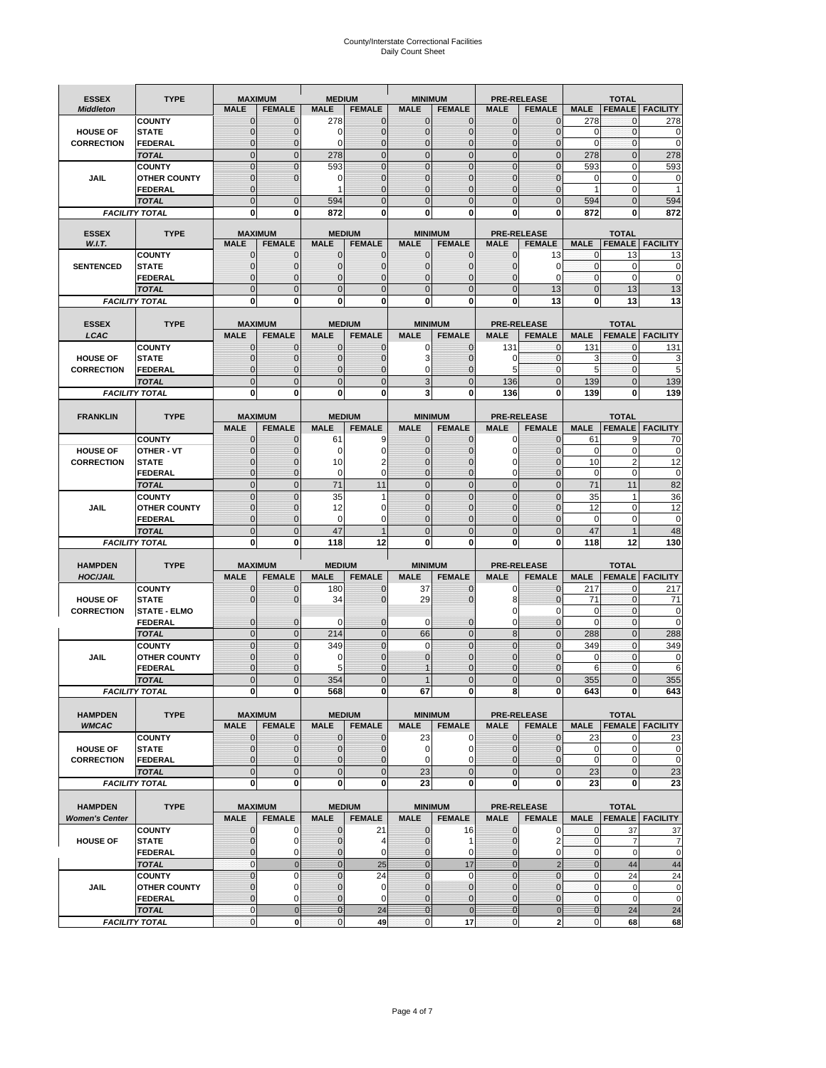# County/Interstate Correctional Facilities Daily Count Sheet

| <b>ESSEX</b>          | <b>TYPE</b>                           |                               | <b>MAXIMUM</b>                | <b>MEDIUM</b>                  |                               | <b>MINIMUM</b>                |                             |                               | <b>PRE-RELEASE</b>            |                               | <b>TOTAL</b>                        |                        |
|-----------------------|---------------------------------------|-------------------------------|-------------------------------|--------------------------------|-------------------------------|-------------------------------|-----------------------------|-------------------------------|-------------------------------|-------------------------------|-------------------------------------|------------------------|
| <b>Middleton</b>      |                                       | <b>MALE</b>                   | <b>FEMALE</b>                 | <b>MALE</b>                    | <b>FEMALE</b>                 | <b>MALE</b>                   | <b>FEMALE</b>               | <b>MALE</b>                   | <b>FEMALE</b>                 | <b>MALE</b>                   |                                     | <b>FEMALE FACILITY</b> |
|                       | <b>COUNTY</b>                         | 0                             | $\mathbf 0$                   | 278                            | 0                             | $\mathbf{0}$                  | $\mathbf{0}$                | $\mathbf{0}$                  | $\Omega$                      | 278                           | 0                                   | 278                    |
| <b>HOUSE OF</b>       | <b>STATE</b>                          | 0                             | $\mathbf 0$                   | $\Omega$                       | 0                             | $\mathbf 0$                   | $\mathbf{0}$                | $\mathbf{0}$                  | $\Omega$                      | $\Omega$                      | $\mathbf{0}$                        | 0                      |
| <b>CORRECTION</b>     | <b>FEDERAL</b>                        | $\Omega$<br>$\mathbf 0$       | $\mathbf 0$<br>$\overline{0}$ | $\Omega$                       | $\overline{0}$<br>$\mathbf 0$ | $\mathbf{0}$<br>$\mathbf{0}$  | $\mathbf{0}$<br>$\mathbf 0$ | $\mathbf{0}$<br>$\mathbf 0$   | $\Omega$<br>$\overline{0}$    | $\Omega$                      | $\mathbf{0}$<br>$\mathbf{0}$        | $\mathbf 0$<br>278     |
|                       | <b>TOTAL</b><br><b>COUNTY</b>         | $\mathbf 0$                   | $\mathbf{0}$                  | 278<br>593                     | 0                             | $\mathbf{0}$                  | $\mathbf 0$                 | $\mathbf{0}$                  | $\mathbf 0$                   | 278<br>593                    | 0                                   | 593                    |
| JAIL                  | <b>OTHER COUNTY</b>                   | $\mathbf 0$                   | $\mathbf 0$                   | 0                              | 0                             | $\mathbf{0}$                  | $\Omega$                    | $\mathbf{0}$                  | ſ                             | $\Omega$                      | $\Omega$                            | 0                      |
|                       | <b>FEDERAL</b>                        | $\mathbf{0}$                  |                               | 1                              | $\Omega$                      | $\mathbf 0$                   | $\mathbf 0$                 | $\mathbf{0}$                  | $\mathbf 0$                   | 1                             | 0                                   |                        |
|                       | <b>TOTAL</b>                          | $\Omega$                      | $\overline{0}$                | 594                            | $\Omega$                      | $\mathbf{0}$                  | $\Omega$                    | $\overline{0}$                | $\Omega$                      | 594                           | $\Omega$                            | 594                    |
|                       | <b>FACILITY TOTAL</b>                 | 0                             | 0                             | 872                            | O                             | $\bf{0}$                      | 0                           | 0                             | 0                             | 872                           | 0                                   | 872                    |
| <b>ESSEX</b>          | <b>TYPE</b>                           |                               | <b>MAXIMUM</b>                |                                | <b>MEDIUM</b>                 |                               | <b>MINIMUM</b>              |                               | <b>PRE-RELEASE</b>            |                               | <b>TOTAL</b>                        |                        |
| W.I.T.                |                                       | <b>MALE</b>                   | <b>FEMALE</b>                 | <b>MALE</b>                    | <b>FEMALE</b>                 | <b>MALE</b>                   | <b>FEMALE</b>               | <b>MALE</b>                   | <b>FEMALE</b>                 | <b>MALE</b>                   | <b>FEMALE</b>                       | <b>FACILITY</b>        |
|                       | <b>COUNTY</b>                         | $\mathbf{0}$                  | 0                             | $\mathbf 0$                    | $\mathbf{0}$                  | $\mathbf{0}$                  | $\mathbf{0}$                | $\mathbf{0}$                  | 13                            | 0                             | 13                                  | 13                     |
| <b>SENTENCED</b>      | <b>STATE</b>                          | 0                             | $\overline{0}$                | $\mathbf{0}$                   | 0                             | $\mathbf{0}$                  | $\mathbf{0}$                | $\mathbf 0$                   | 0                             | $\mathbf 0$                   | $\mathbf 0$                         | $\mathbf 0$            |
|                       | <b>FEDERAL</b>                        | $\mathbf 0$                   | $\mathbf 0$                   | $\Omega$                       | 0                             | $\mathbf{0}$                  | $\Omega$                    | $\mathbf{0}$                  | $\Omega$                      | $\mathbf 0$                   | $\Omega$                            | $\mathbf 0$            |
|                       | <b>TOTAL</b>                          | $\overline{0}$                | $\overline{0}$                | $\mathbf{0}$                   | $\overline{0}$                | $\mathbf{0}$                  | $\overline{0}$              | $\mathbf 0$                   | 13                            | $\mathbf{0}$                  | 13                                  | 13                     |
|                       | <b>FACILITY TOTAL</b>                 | $\bf{0}$                      | 0                             | $\bf{0}$                       | O                             | $\bf{0}$                      | 0                           | 0                             | 13                            | $\bf{0}$                      | 13                                  | 13                     |
| <b>ESSEX</b>          | <b>TYPE</b>                           |                               | <b>MAXIMUM</b>                |                                | <b>MEDIUM</b>                 |                               | <b>MINIMUM</b>              |                               | <b>PRE-RELEASE</b>            |                               | <b>TOTAL</b>                        |                        |
| LCAC                  |                                       | <b>MALE</b>                   | <b>FEMALE</b>                 | <b>MALE</b>                    | <b>FEMALE</b>                 | <b>MALE</b>                   | <b>FEMALE</b>               | <b>MALE</b>                   | <b>FEMALE</b>                 | <b>MALE</b>                   | <b>FEMALE</b>                       | <b>FACILITY</b>        |
|                       | <b>COUNTY</b>                         | 0                             | $\mathbf 0$                   | $\mathbf{0}$                   | 0                             | $\mathbf 0$                   | $\mathbf{0}$                | 131                           | $\mathbf 0$                   | 131                           | 0                                   | 131                    |
| <b>HOUSE OF</b>       | <b>STATE</b>                          | $\Omega$                      | $\mathbf 0$                   | $\Omega$                       | 0                             | 3                             | $\Omega$                    | 0                             | $\Omega$                      | 3                             | $\Omega$                            | 3                      |
| <b>CORRECTION</b>     | <b>FEDERAL</b>                        | 0                             | $\overline{0}$                | $\mathbf{0}$                   | 0                             | $\mathbf 0$                   | $\mathbf 0$                 | 5                             | $\mathbf 0$                   | 5                             | $\mathbf{0}$                        | 5                      |
|                       | <b>TOTAL</b>                          | $\overline{0}$                | $\overline{0}$                | $\overline{0}$                 | $\overline{0}$                | 3                             | $\overline{0}$              | 136                           | $\overline{0}$                | 139                           | $\Omega$                            | 139                    |
|                       | <b>FACILITY TOTAL</b>                 | 0                             | 0                             | 0                              | 0                             | 3                             | 0                           | 136                           | 0                             | 139                           | 0                                   | 139                    |
| <b>FRANKLIN</b>       | <b>TYPE</b>                           |                               | <b>MAXIMUM</b>                |                                | <b>MEDIUM</b>                 |                               | <b>MINIMUM</b>              |                               | <b>PRE-RELEASE</b>            |                               | <b>TOTAL</b>                        |                        |
|                       |                                       | <b>MALE</b>                   | <b>FEMALE</b>                 | <b>MALE</b>                    | <b>FEMALE</b>                 | <b>MALE</b>                   | <b>FEMALE</b>               | <b>MALE</b>                   | <b>FEMALE</b>                 | <b>MALE</b>                   | <b>FEMALE</b>                       | <b>FACILITY</b>        |
|                       | <b>COUNTY</b>                         | 0                             | 0                             | 61                             | 9                             | $\mathbf{0}$                  | 0                           | 0                             | $\Omega$                      | 61                            | 9                                   | 70                     |
| <b>HOUSE OF</b>       | <b>OTHER - VT</b>                     | 0                             | $\overline{0}$                | 0                              | $\mathbf 0$                   | $\overline{0}$                | 0                           | $\mathbf 0$                   | $\sqrt{ }$                    | $\mathbf 0$                   | $\mathbf 0$                         | 0                      |
| <b>CORRECTION</b>     | <b>STATE</b>                          | 0                             | $\mathbf 0$                   | 10                             | 2                             | $\mathbf{0}$                  | $\Omega$                    | 0                             | $\sqrt{ }$                    | 10                            | $\overline{2}$                      | 12                     |
|                       | <b>FEDERAL</b>                        | $\mathbf 0$                   | $\overline{0}$                | 0                              | 0                             | $\mathbf{0}$                  | $\mathbf{0}$                | 0                             | $\overline{0}$                | $\mathbf 0$                   | $\mathbf 0$                         | $\mathbf 0$            |
|                       | <b>TOTAL</b>                          | $\mathbf 0$                   | $\mathbf{0}$                  | 71                             | 11                            | $\mathbf{0}$                  | $\overline{0}$              | $\overline{0}$                | $\overline{0}$                | 71                            | 11                                  | 82                     |
|                       | <b>COUNTY</b>                         | $\mathbf 0$<br>$\overline{0}$ | $\mathbf 0$<br>$\mathbf 0$    | 35                             | 1<br>0                        | $\mathbf{0}$<br>$\Omega$      | $\mathbf 0$<br>$\Omega$     | $\mathbf{0}$<br>$\mathbf 0$   | $\overline{0}$<br>$\sqrt{ }$  | 35<br>12                      | $\overline{\mathbf{1}}$<br>$\Omega$ | 36<br>12               |
| <b>JAIL</b>           | <b>OTHER COUNTY</b><br><b>FEDERAL</b> | $\overline{0}$                | $\overline{0}$                | 12<br>0                        | $\mathbf 0$                   | $\mathbf{0}$                  | $\overline{0}$              | $\mathbf{0}$                  | $\mathbf 0$                   | $\mathbf 0$                   | $\mathbf 0$                         | $\mathbf 0$            |
|                       | <b>TOTAL</b>                          | $\mathbf 0$                   | $\mathbf 0$                   | 47                             | $\overline{1}$                | $\mathbf{0}$                  | $\overline{0}$              | $\mathbf 0$                   | $\Omega$                      | 47                            | $\overline{1}$                      | 48                     |
|                       | <b>FACILITY TOTAL</b>                 | 0                             | 0                             | 118                            | 12                            | $\bf{0}$                      | 0                           | 0                             | 0                             | 118                           | 12                                  | 130                    |
|                       |                                       |                               |                               |                                |                               |                               |                             |                               |                               |                               |                                     |                        |
| <b>HAMPDEN</b>        | <b>TYPE</b>                           |                               | <b>MAXIMUM</b>                | <b>MEDIUM</b>                  |                               | <b>MINIMUM</b>                |                             |                               | <b>PRE-RELEASE</b>            |                               | <b>TOTAL</b>                        |                        |
| <b>HOC/JAIL</b>       |                                       | <b>MALE</b>                   | <b>FEMALE</b>                 | <b>MALE</b>                    | <b>FEMALE</b>                 | <b>MALE</b>                   | <b>FEMALE</b>               | <b>MALE</b>                   | <b>FEMALE</b>                 | <b>MALE</b>                   | <b>FEMALE</b>                       | <b>FACILITY</b>        |
| <b>HOUSE OF</b>       | <b>COUNTY</b><br><b>STATE</b>         | $\mathbf{0}$<br>$\Omega$      | 0<br>$\overline{0}$           | 180<br>34                      | 0<br>0                        | 37<br>29                      | $\mathbf 0$<br>$\Omega$     | 0<br>8                        | $\Omega$<br>$\Omega$          | 217<br>71                     | $\mathbf 0$<br>$\mathbf{0}$         | 217<br>71              |
| <b>CORRECTION</b>     | <b>STATE - ELMO</b>                   |                               |                               |                                |                               |                               |                             | 0                             | $\Omega$                      | 0                             | $\mathbf{0}$                        | 0                      |
|                       | <b>FEDERAL</b>                        | $\mathbf{0}$                  | $\mathbf 0$                   | $\Omega$                       | 0                             | 0                             | $\mathbf 0$                 | $\mathbf 0$                   | $\overline{0}$                | $\Omega$                      | $\mathbf{0}$                        | $\mathbf 0$            |
|                       | <b>TOTAL</b>                          | $\mathbf 0$                   | $\overline{0}$                | 214                            | $\overline{0}$                | 66                            | $\mathbf{0}$                | 8                             | $\overline{0}$                | 288                           | $\mathbf{0}$                        | 288                    |
|                       | <b>COUNTY</b>                         | $\Omega$                      | $\overline{0}$                | 349                            | $\overline{0}$                | $\Omega$                      | $\Omega$                    | $\overline{0}$                | $\Omega$                      | 349                           | $\Omega$                            | 349                    |
| JAIL                  | <b>OTHER COUNTY</b>                   | 0                             | $\mathbf 0$                   | 0                              | 0                             | $\mathbf{0}$                  | $\Omega$                    | $\mathbf 0$                   | $\Omega$                      | $\mathbf 0$                   | $\mathbf{0}$                        | 0                      |
|                       | <b>FEDERAL</b>                        | $\Omega$<br>$\overline{0}$    | $\Omega$<br>$\mathcal{C}$     | 5                              | O<br>$\overline{0}$           |                               | $\Omega$                    | $\mathbf 0$<br>$\overline{0}$ | $\Omega$                      | 6                             | $\Omega$                            | 6                      |
|                       | <b>TOTAL</b><br><b>FACILITY TOTAL</b> | $\mathbf{0}$                  | 0                             | 354<br>568                     | 0                             | 67                            | $\Omega$<br>0               | 8                             | 0                             | 355<br>643                    | 0                                   | 355<br>643             |
|                       |                                       |                               |                               |                                |                               |                               |                             |                               |                               |                               |                                     |                        |
| <b>HAMPDEN</b>        | <b>TYPE</b>                           |                               | <b>MAXIMUM</b>                |                                | <b>MEDIUM</b>                 |                               | <b>MINIMUM</b>              |                               | PRE-RELEASE                   |                               | <b>TOTAL</b>                        |                        |
| <b>WMCAC</b>          |                                       | <b>MALE</b>                   | <b>FEMALE</b>                 | <b>MALE</b>                    | <b>FEMALE</b>                 | <b>MALE</b>                   | <b>FEMALE</b>               | <b>MALE</b>                   | <b>FEMALE</b>                 | <b>MALE</b>                   |                                     | <b>FEMALE FACILITY</b> |
|                       | <b>COUNTY</b>                         | 0                             | $\mathbf 0$                   | $\mathbf{0}$                   | 0                             | 23                            | 0                           | $\mathbf 0$                   | $\mathbf 0$                   | 23                            | 0                                   | 23                     |
| <b>HOUSE OF</b>       | <b>STATE</b>                          | 0                             | $\mathbf{0}$                  | $\overline{0}$                 | 0                             | 0                             | 0                           | $\mathbf{0}$                  | $\mathbf{0}$                  | $\mathbf 0$                   | $\mathbf 0$                         | 0                      |
| <b>CORRECTION</b>     | <b>FEDERAL</b><br><b>TOTAL</b>        | 0<br>$\mathbf 0$              | $\overline{0}$<br>$\mathbf 0$ | $\overline{0}$<br>$\mathbf{0}$ | 0<br>$\mathbf 0$              | $\mathbf 0$<br>23             | 0<br>$\mathbf 0$            | $\mathbf{0}$<br>$\mathbf 0$   | $\overline{0}$<br>$\mathbf 0$ | $\mathbf 0$<br>23             | $\mathbf 0$<br>$\mathbf{0}$         | $\pmb{0}$<br>23        |
|                       | <b>FACILITY TOTAL</b>                 | 0                             | 0                             | $\mathbf{0}$                   | 0                             | 23                            | 0                           | 0                             | $\mathbf 0$                   | 23                            | $\mathbf{0}$                        | 23                     |
|                       |                                       |                               |                               |                                |                               |                               |                             |                               |                               |                               |                                     |                        |
| <b>HAMPDEN</b>        | <b>TYPE</b>                           |                               | <b>MAXIMUM</b>                |                                | <b>MEDIUM</b>                 |                               | <b>MINIMUM</b>              |                               | <b>PRE-RELEASE</b>            |                               | <b>TOTAL</b>                        |                        |
| <b>Women's Center</b> |                                       | <b>MALE</b>                   | <b>FEMALE</b>                 | <b>MALE</b>                    | <b>FEMALE</b>                 | <b>MALE</b>                   | <b>FEMALE</b>               | <b>MALE</b>                   | <b>FEMALE</b>                 | <b>MALE</b>                   |                                     | <b>FEMALE FACILITY</b> |
|                       | <b>COUNTY</b>                         | 0                             | 0                             | 0                              | 21                            | $\mathbf 0$                   | 16                          | 0                             | 0                             | 0                             | 37                                  | 37                     |
| <b>HOUSE OF</b>       | <b>STATE</b>                          | $\mathbf{0}$                  | $\mathbf 0$                   | $\mathbf 0$                    | 4                             | $\mathbf{0}$                  | 1                           | $\mathbf{0}$                  | $\overline{2}$                | $\mathbf{0}$                  | $\overline{7}$                      | 7                      |
|                       | <b>FEDERAL</b><br><b>TOTAL</b>        | 0<br>$\mathbf{0}$             | 0<br>$\mathbf{0}$             | 0<br>$\overline{0}$            | 0<br>25                       | $\mathbf 0$<br>$\overline{0}$ | 0<br>17                     | $\mathbf{0}$<br>$\mathbf{0}$  | 0<br>$\overline{2}$           | $\mathbf 0$<br>$\overline{0}$ | $\mathbf 0$<br>44                   | $\mathbf 0$<br>44      |
|                       | <b>COUNTY</b>                         | $\mathbf 0$                   | $\mathbf 0$                   | $\mathbf{0}$                   | 24                            | $\mathbf{0}$                  | $\Omega$                    | $\overline{0}$                | $\overline{0}$                | $\mathbf 0$                   | 24                                  | 24                     |
| JAIL                  | <b>OTHER COUNTY</b>                   | $\overline{0}$                | 0                             | $\mathbf{0}$                   | 0                             | $\mathbf{0}$                  | $\mathbf{0}$                | $\mathbf{0}$                  | $\mathcal{C}$                 | $\mathbf 0$                   | $\mathbf 0$                         | 0                      |
|                       | <b>FEDERAL</b>                        | 0                             | 0                             | $\mathbf{0}$                   | 0                             | $\mathbf 0$                   | $\mathbf{0}$                | 0                             | $\overline{0}$                | $\mathbf 0$                   | $\mathbf 0$                         | $\mathbf 0$            |
|                       | <b>TOTAL</b>                          | $\mathbf{0}$                  | $\mathbf 0$                   | $\overline{0}$                 | 24                            | $\bf{0}$                      | $\overline{0}$              | $\bf{0}$                      | $\pmb{0}$                     | $\mathbf{0}$                  | 24                                  | 24                     |
|                       | <b>FACILITY TOTAL</b>                 | 0                             | $\pmb{0}$                     | $\pmb{0}$                      | 49                            | $\mathbf 0$                   | 17                          | $\mathbf{0}$                  | $\overline{a}$                | $\pmb{0}$                     | 68                                  | 68                     |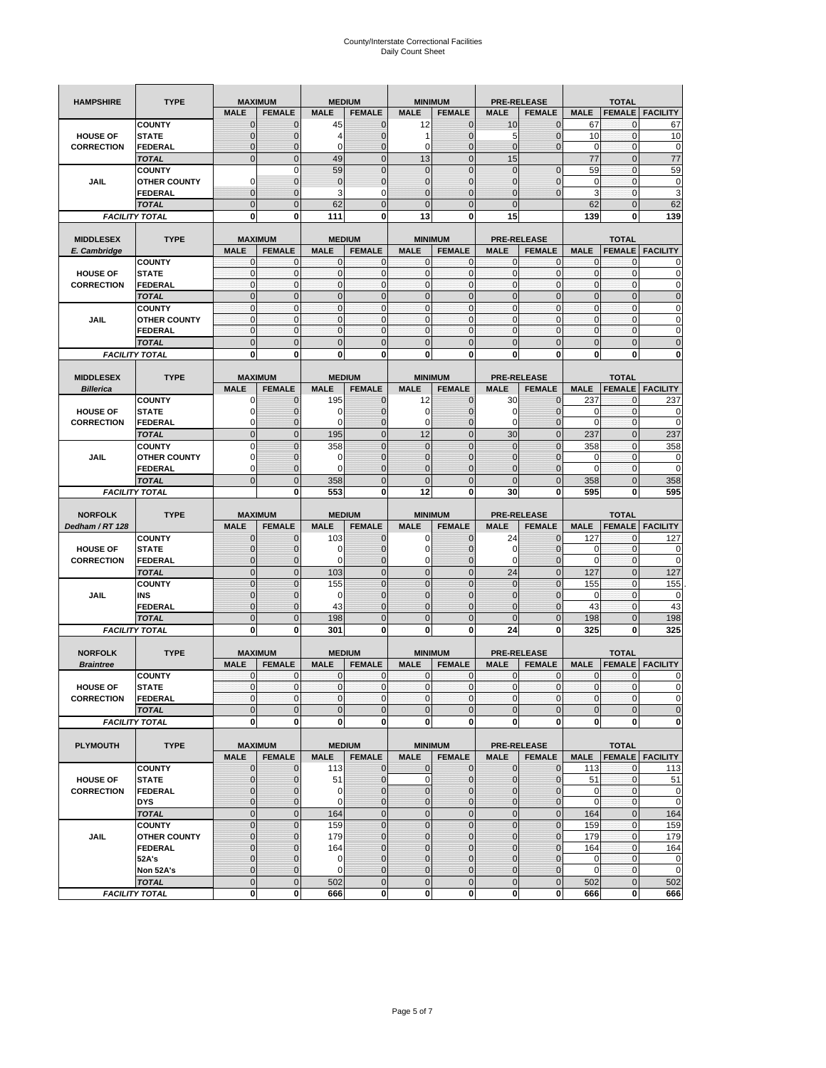| <b>HAMPSHIRE</b>                 | <b>TYPE</b>                   | <b>MAXIMUM</b>                 |                                  |                | <b>MEDIUM</b>                  | <b>MINIMUM</b>                |                               |                             | <b>PRE-RELEASE</b>                  |                | <b>TOTAL</b>                  |                        |
|----------------------------------|-------------------------------|--------------------------------|----------------------------------|----------------|--------------------------------|-------------------------------|-------------------------------|-----------------------------|-------------------------------------|----------------|-------------------------------|------------------------|
|                                  |                               | <b>MALE</b>                    | <b>FEMALE</b>                    | <b>MALE</b>    | <b>FEMALE</b>                  | <b>MALE</b>                   | <b>FEMALE</b>                 | <b>MALE</b>                 | <b>FEMALE</b>                       | <b>MALE</b>    | <b>FEMALE</b>                 | <b>FACILITY</b>        |
|                                  | <b>COUNTY</b>                 | $\mathbf 0$                    | $\overline{0}$                   | 45             | $\mathbf 0$                    | 12                            | $\mathbf{0}$                  | 10                          | $\overline{0}$                      | 67             | 0                             | 67                     |
| <b>HOUSE OF</b>                  | <b>STATE</b>                  | ∩                              | 0                                | 4              | $\mathbf{0}$                   | 1                             | $\mathbf 0$                   | 5                           | 0                                   | 10             | $\mathbf 0$                   | 10                     |
| <b>CORRECTION</b>                | <b>FEDERAL</b>                | $\mathbf{0}$                   | 0                                | $\mathbf 0$    | $\mathbf{0}$                   | 0                             | $\mathbf{0}$                  | $\mathbf{0}$                | $\overline{0}$                      | 0              | $\mathbf 0$                   | $\mathbf 0$            |
|                                  | <b>TOTAL</b>                  | $\overline{0}$                 | $\mathbf 0$                      | 49             | $\overline{0}$                 | 13                            | $\overline{0}$                | 15                          |                                     | 77             | $\mathbf 0$                   | $\overline{77}$        |
|                                  | <b>COUNTY</b>                 |                                | $\mathbf 0$                      | 59             | $\mathbf{0}$                   | 0                             | $\overline{0}$                | $\mathbf{0}$                | $\mathbf 0$                         | 59             | $\mathbf 0$                   | 59                     |
| JAIL                             | <b>OTHER COUNTY</b>           | 0                              | $\overline{0}$                   | $\overline{0}$ | $\mathbf{0}$                   | $\overline{0}$                | $\mathbf 0$                   | 0                           | $\overline{0}$                      | $\mathbf 0$    | $\mathbf{0}$                  | $\pmb{0}$              |
|                                  | <b>FEDERAL</b>                | $\mathbf{0}$                   | $\overline{0}$                   | 3              | 0                              | $\overline{0}$                | $\overline{0}$                | $\mathbf{0}$                | $\overline{0}$                      | 3              | $\mathbf 0$                   | 3                      |
|                                  | <b>TOTAL</b>                  | $\Omega$                       | $\overline{0}$                   | 62             | $\mathbf{0}$                   | $\mathbf 0$                   | $\overline{0}$                | $\mathbf{0}$                |                                     | 62             | $\mathbf 0$                   | 62                     |
|                                  | <b>FACILITY TOTAL</b>         | $\bf{0}$                       | 0                                | 111            | 0                              | 13                            | 0                             | 15                          |                                     | 139            | 0                             | 139                    |
|                                  |                               |                                |                                  |                |                                |                               |                               |                             |                                     |                |                               |                        |
| <b>MIDDLESEX</b><br>E. Cambridge | <b>TYPE</b>                   | <b>MAXIMUM</b><br><b>MALE</b>  | <b>FEMALE</b>                    | <b>MALE</b>    | <b>MEDIUM</b><br><b>FEMALE</b> | <b>MINIMUM</b><br><b>MALE</b> | <b>FEMALE</b>                 | <b>MALE</b>                 | <b>PRE-RELEASE</b><br><b>FEMALE</b> | <b>MALE</b>    | <b>TOTAL</b><br><b>FEMALE</b> | <b>FACILITY</b>        |
|                                  | <b>COUNTY</b>                 | 0                              | $\mathbf 0$                      | 0              | 0                              | 0                             | $\mathbf{0}$                  | $\mathbf 0$                 | 0                                   | 0              | $\mathbf{0}$                  | 0                      |
| <b>HOUSE OF</b>                  | <b>STATE</b>                  | $\pmb{0}$                      | $\mathbf{0}$                     | $\mathbf 0$    | $\bf{0}$                       | 0                             | $\mathbf{0}$                  | $\mathbf 0$                 | 0                                   | $\mathbf 0$    | $\mathbf 0$                   | $\mathbf 0$            |
| <b>CORRECTION</b>                | <b>FEDERAL</b>                | $\mathbf{0}$                   | $\mathbf{0}$                     | $\mathbf 0$    | $\mathbf{O}$                   | $\mathbf{0}$                  | $\mathbf{0}$                  | $\mathbf{0}$                | $\mathbf 0$                         | $\mathbf 0$    | $\mathbf 0$                   | $\pmb{0}$              |
|                                  | <b>TOTAL</b>                  | $\mathbf{0}$                   | $\overline{0}$                   | $\overline{0}$ | $\mathbf{0}$                   | $\overline{0}$                | $\mathbf{0}$                  | $\mathbf{0}$                | $\overline{0}$                      | $\overline{0}$ | $\overline{0}$                | $\pmb{0}$              |
|                                  | <b>COUNTY</b>                 | $\mathbf{0}$                   | $\mathbf{0}$                     | $\mathbf 0$    | $\mathbf{O}$                   | $\mathbf{0}$                  | $\mathbf{0}$                  | $\mathbf{O}$                | $\overline{0}$                      | $\mathbf 0$    | $\mathbf{0}$                  | $\pmb{0}$              |
| JAIL                             | <b>OTHER COUNTY</b>           | $\Omega$                       | $\mathbf 0$                      | $\mathbf 0$    | $\Omega$                       | $\mathbf{0}$                  | $\mathbf{0}$                  | $\mathbf{0}$                | $\overline{0}$                      | $\mathbf 0$    | $\mathbf{0}$                  | $\mathbf 0$            |
|                                  | <b>FEDERAL</b>                | $\mathbf{0}$                   | $\mathbf 0$                      | $\mathbf 0$    | $\mathbf{O}$                   | 0                             | $\mathbf{0}$                  | $\mathbf{O}$                | 0                                   | $\mathbf 0$    | $\mathbf 0$                   | $\mathbf 0$            |
|                                  | <b>TOTAL</b>                  | $\mathbf 0$                    | $\overline{0}$                   | $\overline{0}$ | $\mathbf{0}$                   | $\mathbf 0$                   | $\mathbf 0$                   | $\mathbf{0}$                | $\overline{0}$                      | $\mathbf 0$    | $\overline{0}$                | $\mathbf 0$            |
|                                  | <b>FACILITY TOTAL</b>         | 0                              | $\bf{0}$                         | 0              | 0                              | 0                             | 0                             | 0                           | 0                                   | 0              | $\bf{0}$                      | $\bf{0}$               |
|                                  |                               |                                |                                  |                |                                |                               |                               |                             |                                     |                |                               |                        |
| <b>MIDDLESEX</b>                 | <b>TYPE</b>                   | <b>MAXIMUM</b><br><b>MALE</b>  | <b>FEMALE</b>                    | <b>MALE</b>    | <b>MEDIUM</b><br><b>FEMALE</b> | <b>MINIMUM</b><br><b>MALE</b> | <b>FEMALE</b>                 | <b>MALE</b>                 | <b>PRE-RELEASE</b><br><b>FEMALE</b> | <b>MALE</b>    | <b>TOTAL</b><br><b>FEMALE</b> | <b>FACILITY</b>        |
| <b>Billerica</b>                 | <b>COUNTY</b>                 | 0                              | $\overline{0}$                   | 195            | $\mathbf 0$                    | 12                            | $\mathbf 0$                   | 30                          | $\overline{0}$                      | 237            | $\mathbf{0}$                  | 237                    |
| <b>HOUSE OF</b>                  | <b>STATE</b>                  | 0                              | $\overline{0}$                   | 0              | $\mathbf 0$                    | 0                             | $\overline{0}$                | 0                           | $\overline{0}$                      | 0              | $\mathbf 0$                   | $\mathbf 0$            |
| <b>CORRECTION</b>                | FEDERAL                       | $\Omega$                       | 0                                | 0              | $\mathbf{0}$                   | 0                             | $\mathbf{0}$                  | $\mathbf 0$                 | 0                                   | $\overline{0}$ | $\mathbf 0$                   | $\mathbf 0$            |
|                                  | <b>TOTAL</b>                  | $\mathbf{0}$                   | $\overline{0}$                   | 195            | $\mathbf{0}$                   | 12                            | $\mathbf 0$                   | 30                          | $\overline{0}$                      | 237            | $\overline{0}$                | 237                    |
|                                  | <b>COUNTY</b>                 | $\Omega$                       | $\overline{0}$                   | 358            | $\mathbf 0$                    | $\overline{0}$                | $\Omega$                      | $\mathbf{0}$                | $\overline{0}$                      | 358            | $\mathbf{0}$                  | 358                    |
| JAIL                             | <b>OTHER COUNTY</b>           | $\Omega$                       | 0                                | 0              | $\overline{0}$                 | 0                             | $\mathbf 0$                   | $\overline{0}$              | 0                                   | 0              | $\mathbf{0}$                  | 0                      |
|                                  | <b>FEDERAL</b>                | 0                              | $\overline{0}$                   | $\mathbf 0$    | $\mathbf{0}$                   | $\overline{0}$                | $\overline{0}$                | 0                           | $\overline{0}$                      | $\mathbf 0$    | $\mathbf{0}$                  | $\mathbf 0$            |
|                                  | <b>TOTAL</b>                  | $\Omega$                       | $\mathbf 0$                      | 358            | $\mathbf{0}$                   | $\mathbf 0$                   | $\mathbf 0$                   | $\mathbf{0}$                | $\overline{0}$                      | 358            | $\mathbf 0$                   | 358                    |
|                                  | <b>FACILITY TOTAL</b>         |                                | $\mathbf 0$                      | 553            | $\bf{0}$                       | 12                            | 0                             | 30                          | 0                                   | 595            | $\bf{0}$                      | 595                    |
|                                  |                               |                                |                                  |                |                                |                               |                               |                             |                                     |                |                               |                        |
|                                  |                               |                                |                                  |                |                                |                               |                               |                             |                                     |                |                               |                        |
| <b>NORFOLK</b>                   | <b>TYPE</b>                   | <b>MAXIMUM</b>                 |                                  |                | <b>MEDIUM</b>                  | <b>MINIMUM</b>                |                               |                             | <b>PRE-RELEASE</b>                  |                | <b>TOTAL</b>                  |                        |
| Dedham / RT 128                  |                               | <b>MALE</b>                    | <b>FEMALE</b>                    | <b>MALE</b>    | <b>FEMALE</b>                  | <b>MALE</b>                   | <b>FEMALE</b>                 | <b>MALE</b>                 | <b>FEMALE</b>                       | <b>MALE</b>    | <b>FEMALE</b>                 | <b>FACILITY</b>        |
|                                  | <b>COUNTY</b>                 | $\Omega$                       | $\overline{0}$                   | 103            | 0                              | 0                             | $\mathbf 0$                   | 24                          | 0                                   | 127            | 0                             | 127                    |
| <b>HOUSE OF</b>                  | <b>STATE</b>                  | $\Omega$                       | $\overline{0}$                   | 0              | $\mathbf{0}$                   | 0                             | $\overline{0}$                | 0                           | $\overline{0}$                      | 0              | 0                             | 0                      |
| <b>CORRECTION</b>                | <b>FEDERAL</b>                | $\Omega$                       | 0                                | 0              | $\mathbf{0}$                   | 0                             | $\mathbf 0$                   | 0                           | 0                                   | $\mathbf 0$    | $\mathbf 0$                   | $\mathbf 0$            |
|                                  | <b>TOTAL</b><br><b>COUNTY</b> | $\Omega$<br>$\overline{0}$     | $\overline{0}$<br>$\overline{0}$ | 103<br>155     | $\mathbf{0}$<br>$\mathbf{0}$   | $\mathbf 0$<br>$\overline{0}$ | $\mathbf 0$<br>$\overline{0}$ | 24<br>0                     | $\overline{0}$<br>$\overline{0}$    | 127            | $\mathbf 0$<br>$\mathbf 0$    | 127                    |
| JAIL                             | INS                           | $\mathbf{0}$                   | 0                                | 0              | $\overline{0}$                 | 0                             | $\mathbf 0$                   | $\overline{0}$              | 0                                   | 155<br>0       | 0                             | 155<br>0               |
|                                  | <b>FEDERAL</b>                | $\Omega$                       | $\overline{0}$                   | 43             | $\mathbf 0$                    | $\overline{0}$                | $\mathbf 0$                   | 0                           | $\overline{0}$                      | 43             | $\mathbf{0}$                  | 43                     |
|                                  | <b>TOTAL</b>                  | $\mathbf{0}$                   | $\overline{0}$                   | 198            | $\mathbf{0}$                   | $\overline{0}$                | $\overline{0}$                | $\Omega$                    | $\overline{0}$                      | 198            | $\overline{0}$                | 198                    |
|                                  | <b>FACILITY TOTAL</b>         | $\mathbf 0$                    | $\mathbf 0$                      | 301            | 0                              | 0                             | 0                             | 24                          | 0                                   | 325            | $\bf{0}$                      | 325                    |
|                                  |                               |                                |                                  |                |                                |                               |                               |                             |                                     |                |                               |                        |
| <b>NORFOLK</b>                   | <b>TYPE</b>                   | <b>MAXIMUM</b>                 |                                  |                | <b>MEDIUM</b>                  |                               | <b>MINIMUM</b>                |                             | <b>PRE-RELEASE</b>                  |                | <b>TOTAL</b>                  |                        |
| <b>Braintree</b>                 |                               | <b>MALE</b>                    | <b>FEMALE</b>                    | <b>MALE</b>    | <b>FEMALE</b>                  | <b>MALE</b>                   | <b>FEMALE</b>                 | <b>MALE</b>                 | <b>FEMALE</b>                       | <b>MALE</b>    | <b>FEMALE</b>                 | <b>FACILITY</b>        |
|                                  | <b>COUNTY</b>                 | $\mathbf 0$                    | $\mathbf 0$                      | 0              | $\mathbf 0$                    | 0                             | $\mathbf{0}$                  | $\mathbf 0$                 | $\mathbf 0$                         | 0              | 0                             | 0                      |
| <b>HOUSE OF</b>                  | <b>STATE</b>                  | $\mathbf{0}$                   | $\overline{0}$                   | $\mathbf 0$    | $\overline{0}$                 | $\overline{0}$                | $\mathbf{0}$                  | $\overline{0}$              | $\mathbf{0}$                        | $\mathbf{0}$   | 0                             | $\Omega$               |
| <b>CORRECTION</b>                | FEDERAL                       | $\mathbf 0$                    | 0                                | 0              | $\mathbf 0$                    | $\mathbf 0$                   | 0                             | $\mathbf 0$                 | $\mathbf 0$                         | $\pmb{0}$      | 0                             | $\mathbf 0$            |
|                                  | <b>TOTAL</b>                  | $\mathbf{0}$                   | $\mathbf 0$                      | $\mathbf 0$    | $\mathbf{0}$                   | $\bf 0$                       | $\pmb{0}$                     | $\mathbf{0}$                | $\mathbf 0$                         | $\mathbf 0$    | $\mathbf 0$                   | $\mathbf 0$            |
|                                  | <b>FACILITY TOTAL</b>         | $\mathbf{0}$                   | $\mathbf{0}$                     | 0              | $\mathbf 0$                    | $\mathbf{0}$                  | $\bf{0}$                      | $\mathbf 0$                 | $\mathbf{0}$                        | $\mathbf 0$    | 0                             | $\mathbf 0$            |
| <b>PLYMOUTH</b>                  | <b>TYPE</b>                   |                                | <b>MAXIMUM</b>                   |                | <b>MEDIUM</b>                  |                               | <b>MINIMUM</b>                |                             | <b>PRE-RELEASE</b>                  |                | <b>TOTAL</b>                  |                        |
|                                  |                               | <b>MALE</b>                    | <b>FEMALE</b>                    | <b>MALE</b>    | <b>FEMALE</b>                  | <b>MALE</b>                   | <b>FEMALE</b>                 | <b>MALE</b>                 | <b>FEMALE</b>                       | <b>MALE</b>    |                               | <b>FEMALE</b> FACILITY |
|                                  | <b>COUNTY</b>                 | $\mathbf{0}$                   | $\mathbf{0}$                     | 113            | $\mathbf{0}$                   | 0                             | $\mathbf{0}$                  | $\mathbf{0}$                | 0                                   | 113            | 0                             | 113                    |
| <b>HOUSE OF</b>                  | <b>STATE</b>                  | $\mathbf{0}$                   | 0                                | 51             | $\mathbf{0}$                   | 0                             | $\pmb{0}$                     | $\mathbf 0$                 | $\overline{0}$                      | 51             | $\mathbf{0}$                  | 51                     |
| <b>CORRECTION</b>                | <b>FEDERAL</b>                | $\Omega$                       | 0                                | 0              | $\mathbf{0}$                   | 0                             | $\pmb{0}$                     | $\mathbf{0}$                | 0                                   | $\mathbf 0$    | $\mathbf{0}$                  | $\mathbf 0$            |
|                                  | <b>DYS</b>                    | $\mathbf{0}$                   | 0                                | $\mathbf 0$    | $\mathbf 0$                    | 0                             | $\pmb{0}$                     | $\mathbf 0$                 | $\overline{0}$                      | $\mathbf 0$    | $\mathbf{0}$                  | $\mathbf 0$            |
|                                  | <b>TOTAL</b>                  | $\mathbf 0$                    | $\mathbf 0$                      | 164            | $\mathbf 0$                    | $\mathbf 0$                   | $\mathbf 0$                   | $\mathbf 0$                 | $\mathbf 0$                         | 164            | $\mathbf 0$                   | 164                    |
|                                  | <b>COUNTY</b>                 | $\overline{0}$                 | 0                                | 159            | $\pmb{0}$                      | $\mathbf 0$                   | $\mathbf 0$                   | $\pmb{0}$                   | $\mathbf 0$                         | 159            | $\mathbf{0}$                  | 159                    |
| JAIL                             | <b>OTHER COUNTY</b>           | $\mathbf{0}$                   | 0                                | 179            | $\overline{0}$                 | 0                             | $\mathbf{0}$                  | 0                           | $\overline{0}$                      | 179            | $\mathbf 0$                   | 179                    |
|                                  | <b>FEDERAL</b>                | $\Omega$                       | 0                                | 164            | $\mathbf 0$                    | 0                             | $\mathbf{0}$                  | 0                           | 0                                   | 164            | $\mathbf 0$                   | 164                    |
|                                  | 52A's                         | $\Omega$                       | $\overline{0}$                   | $\mathbf 0$    | $\overline{0}$                 | $\overline{0}$                | $\mathbf 0$                   | $\overline{0}$              | $\overline{0}$                      | $\mathbf 0$    | $\mathbf 0$                   | $\mathbf 0$            |
|                                  | Non 52A's<br><b>TOTAL</b>     | $\mathbf{0}$<br>$\overline{0}$ | 0<br>$\overline{0}$              | 0<br>502       | $\mathbf{0}$<br>$\overline{0}$ | 0<br>$\overline{0}$           | $\mathbf 0$<br>$\mathbf{0}$   | $\mathbf 0$<br>$\mathbf{0}$ | 0<br>$\mathbf 0$                    | 0<br>502       | 0<br>$\mathbf 0$              | $\mathbf 0$<br>502     |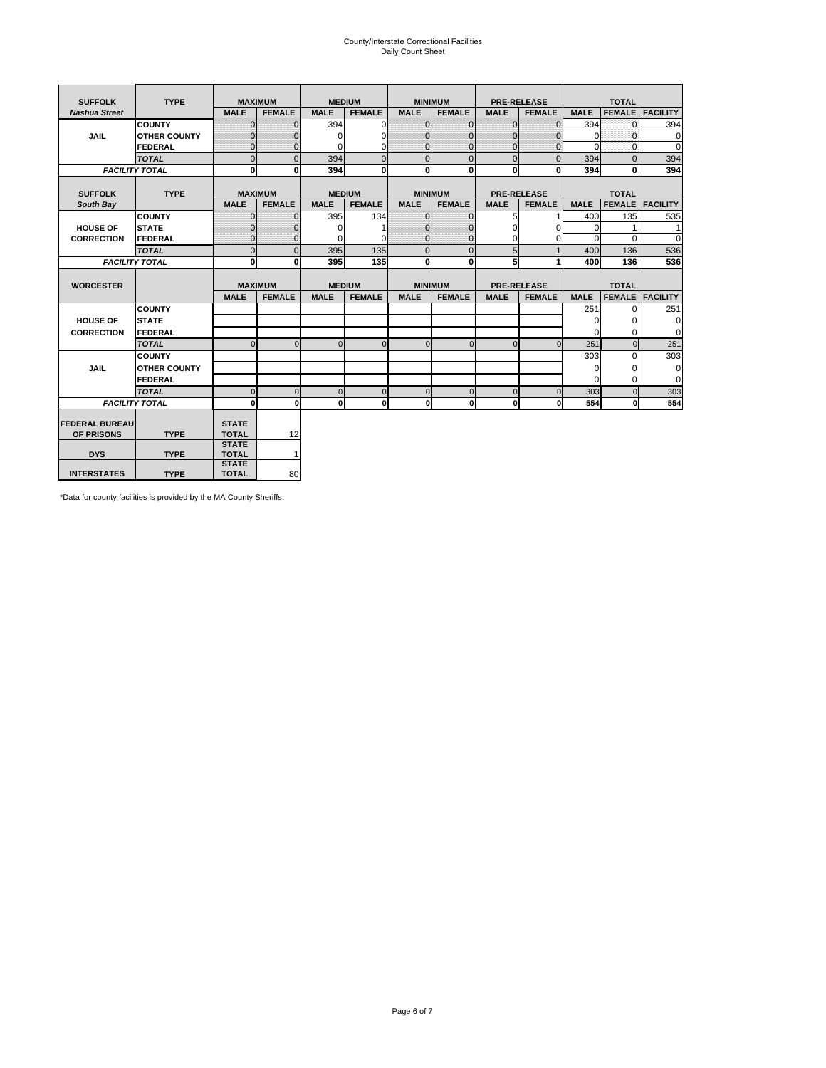# County/Interstate Correctional Facilities Daily Count Sheet

| <b>SUFFOLK</b>        | <b>TYPE</b>           |                              | <b>MAXIMUM</b> | <b>MEDIUM</b> |                |                | <b>MINIMUM</b> |              | <b>PRE-RELEASE</b> |             | <b>TOTAL</b>  |                 |
|-----------------------|-----------------------|------------------------------|----------------|---------------|----------------|----------------|----------------|--------------|--------------------|-------------|---------------|-----------------|
| <b>Nashua Street</b>  |                       | <b>MALE</b>                  | <b>FEMALE</b>  | <b>MALE</b>   | <b>FEMALE</b>  | <b>MALE</b>    | <b>FEMALE</b>  | <b>MALE</b>  | <b>FEMALE</b>      | <b>MALE</b> | <b>FEMALE</b> | <b>FACILITY</b> |
|                       | <b>COUNTY</b>         | $\Omega$                     | $\Omega$       | 394           | 0              | $\mathbf{0}$   | $\Omega$       | $\Omega$     | $\Omega$           | 394         | $\Omega$      | 394             |
| <b>JAIL</b>           | <b>OTHER COUNTY</b>   | $\Omega$                     | 0              | $\Omega$      | 0              | $\Omega$       | $\Omega$       | $\Omega$     | 0                  | $\Omega$    | $\Omega$      | 0               |
|                       | <b>FEDERAL</b>        | $\Omega$                     | $\Omega$       | 0             | 0              | $\mathbf{0}$   | $\Omega$       | $\Omega$     | $\Omega$           | $\Omega$    | $\Omega$      | $\Omega$        |
|                       | <b>TOTAL</b>          | $\mathbf{0}$                 | $\overline{0}$ | 394           | $\overline{0}$ | $\overline{0}$ | $\overline{0}$ | $\Omega$     | $\Omega$           | 394         | $\Omega$      | 394             |
|                       | <b>FACILITY TOTAL</b> | 0                            | 0              | 394           | 0              | $\mathbf{0}$   | $\bf{0}$       | $\mathbf{0}$ | 0                  | 394         | 0             | 394             |
|                       |                       |                              |                |               |                |                |                |              |                    |             |               |                 |
| <b>SUFFOLK</b>        | <b>TYPE</b>           |                              | <b>MAXIMUM</b> | <b>MEDIUM</b> |                |                | <b>MINIMUM</b> |              | <b>PRE-RELEASE</b> |             | <b>TOTAL</b>  |                 |
| South Bay             |                       | <b>MALE</b>                  | <b>FEMALE</b>  | <b>MALE</b>   | <b>FEMALE</b>  | <b>MALE</b>    | <b>FEMALE</b>  | <b>MALE</b>  | <b>FEMALE</b>      | <b>MALE</b> | <b>FEMALE</b> | <b>FACILITY</b> |
|                       | <b>COUNTY</b>         | $\mathbf{0}$                 | $\mathbf{0}$   | 395           | 134            | $\mathbf{0}$   | $\mathbf{0}$   | 5            |                    | 400         | 135           | 535             |
| <b>HOUSE OF</b>       | <b>STATE</b>          | ŋ                            | 0              | $\Omega$      |                | $\Omega$       | $\Omega$       | $\Omega$     | 0                  | $\Omega$    |               | 1               |
| <b>CORRECTION</b>     | FEDERAL               | $\Omega$                     | $\mathbf{0}$   | O             | 0              | $\mathbf{0}$   | $\mathbf{0}$   | $\Omega$     | 0                  | $\Omega$    | $\Omega$      | $\Omega$        |
|                       | <b>TOTAL</b>          | $\mathbf 0$                  | $\overline{0}$ | 395           | 135            | $\mathbf 0$    | $\overline{0}$ | 5            | $\mathbf{1}$       | 400         | 136           | 536             |
|                       | <b>FACILITY TOTAL</b> | $\bf{0}$                     | 0              | 395           | 135            | $\mathbf{0}$   | $\bf{0}$       | 5            | 1                  | 400         | 136           | 536             |
|                       |                       |                              |                |               |                |                |                |              |                    |             |               |                 |
| <b>WORCESTER</b>      |                       |                              | <b>MAXIMUM</b> | <b>MEDIUM</b> |                |                | <b>MINIMUM</b> |              | <b>PRE-RELEASE</b> |             | <b>TOTAL</b>  |                 |
|                       |                       | <b>MALE</b>                  | <b>FEMALE</b>  | <b>MALE</b>   | <b>FEMALE</b>  | <b>MALE</b>    | <b>FEMALE</b>  | <b>MALE</b>  | <b>FEMALE</b>      | <b>MALE</b> | <b>FEMALE</b> | <b>FACILITY</b> |
|                       | <b>COUNTY</b>         |                              |                |               |                |                |                |              |                    | 251         | $\Omega$      | 251             |
| <b>HOUSE OF</b>       | <b>STATE</b>          |                              |                |               |                |                |                |              |                    | $\Omega$    | 0             | 0               |
| <b>CORRECTION</b>     | FEDERAL               |                              |                |               |                |                |                |              |                    | $\Omega$    | $\Omega$      | $\Omega$        |
|                       | <b>TOTAL</b>          | $\Omega$                     | $\Omega$       | $\Omega$      | $\overline{0}$ | $\Omega$       | $\mathbf{0}$   | $\Omega$     | $\Omega$           | 251         | $\Omega$      | 251             |
|                       | <b>COUNTY</b>         |                              |                |               |                |                |                |              |                    | 303         | $\Omega$      | 303             |
| <b>JAIL</b>           | <b>OTHER COUNTY</b>   |                              |                |               |                |                |                |              |                    | 0           | 0             | 0               |
|                       | FEDERAL               |                              |                |               |                |                |                |              |                    | $\Omega$    | $\Omega$      | $\Omega$        |
|                       | <b>TOTAL</b>          | $\Omega$                     | $\Omega$       | $\Omega$      | $\mathbf{0}$   | $\mathbf 0$    | $\mathbf 0$    | $\mathbf 0$  | $\Omega$           | 303         | $\Omega$      | 303             |
|                       | <b>FACILITY TOTAL</b> | 0                            | $\mathbf{0}$   | $\Omega$      | $\mathbf{0}$   | $\mathbf{0}$   | $\bf{0}$       | $\mathbf 0$  | 0                  | 554         | O             | 554             |
|                       |                       |                              |                |               |                |                |                |              |                    |             |               |                 |
| <b>FEDERAL BUREAU</b> |                       | <b>STATE</b>                 |                |               |                |                |                |              |                    |             |               |                 |
| OF PRISONS            | <b>TYPE</b>           | <b>TOTAL</b><br><b>STATE</b> | 12             |               |                |                |                |              |                    |             |               |                 |
| <b>DYS</b>            | <b>TYPE</b>           | <b>TOTAL</b>                 | 1              |               |                |                |                |              |                    |             |               |                 |
|                       |                       | <b>STATE</b>                 |                |               |                |                |                |              |                    |             |               |                 |
| <b>INTERSTATES</b>    | <b>TYPE</b>           | <b>TOTAL</b>                 | 80             |               |                |                |                |              |                    |             |               |                 |

\*Data for county facilities is provided by the MA County Sheriffs.